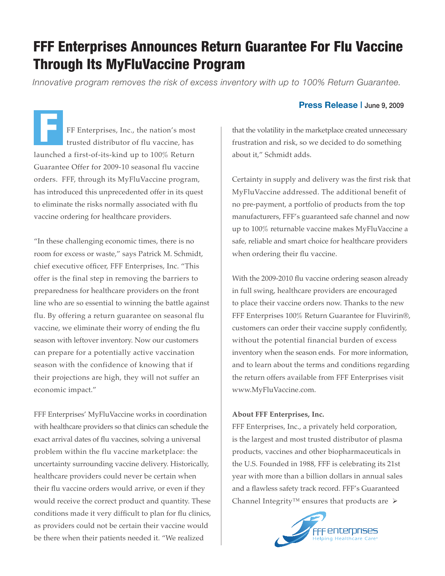## FFF Enterprises Announces Return Guarantee For Flu Vaccine Through Its MyFluVaccine Program

*Innovative program removes the risk of excess inventory with up to 100% Return Guarantee.*

FF Enterprises, Inc., the nation's most trusted distributor of flu vaccine, has launched a first-of-its-kind up to 100% Return Guarantee Offer for 2009-10 seasonal flu vaccine orders. FFF, through its MyFluVaccine program, has introduced this unprecedented offer in its quest to eliminate the risks normally associated with flu vaccine ordering for healthcare providers. F

"In these challenging economic times, there is no room for excess or waste," says Patrick M. Schmidt, chief executive officer, FFF Enterprises, Inc. "This offer is the final step in removing the barriers to preparedness for healthcare providers on the front line who are so essential to winning the battle against flu. By offering a return guarantee on seasonal flu vaccine, we eliminate their worry of ending the flu season with leftover inventory. Now our customers can prepare for a potentially active vaccination season with the confidence of knowing that if their projections are high, they will not suffer an economic impact."

FFF Enterprises' MyFluVaccine works in coordination with healthcare providers so that clinics can schedule the exact arrival dates of flu vaccines, solving a universal problem within the flu vaccine marketplace: the uncertainty surrounding vaccine delivery. Historically, healthcare providers could never be certain when their flu vaccine orders would arrive, or even if they would receive the correct product and quantity. These conditions made it very difficult to plan for flu clinics, as providers could not be certain their vaccine would be there when their patients needed it. "We realized

## **Press Release |** June 9, 2009

that the volatility in the marketplace created unnecessary frustration and risk, so we decided to do something about it," Schmidt adds.

Certainty in supply and delivery was the first risk that MyFluVaccine addressed. The additional benefit of no pre-payment, a portfolio of products from the top manufacturers, FFF's guaranteed safe channel and now up to 100% returnable vaccine makes MyFluVaccine a safe, reliable and smart choice for healthcare providers when ordering their flu vaccine.

With the 2009-2010 flu vaccine ordering season already in full swing, healthcare providers are encouraged to place their vaccine orders now. Thanks to the new FFF Enterprises 100% Return Guarantee for Fluvirin®, customers can order their vaccine supply confidently, without the potential financial burden of excess inventory when the season ends. For more information, and to learn about the terms and conditions regarding the return offers available from FFF Enterprises visit www.MyFluVaccine.com.

## **About FFF Enterprises, Inc.**

FFF Enterprises, Inc., a privately held corporation, is the largest and most trusted distributor of plasma products, vaccines and other biopharmaceuticals in the U.S. Founded in 1988, FFF is celebrating its 21st year with more than a billion dollars in annual sales and a flawless safety track record. FFF's Guaranteed Channel Integrity<sup>™</sup> ensures that products are  $\triangleright$